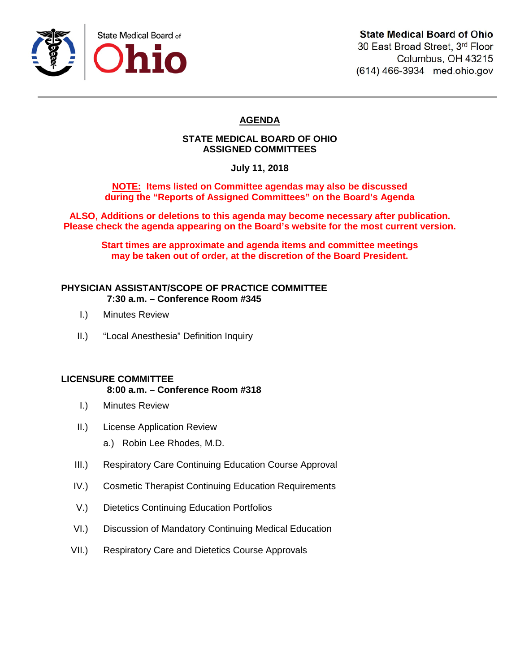

30 East Broad Street, 3rd Floor Columbus, OH 43215 (614) 466-3934 med.ohio.gov

# **AGENDA**

# **STATE MEDICAL BOARD OF OHIO ASSIGNED COMMITTEES**

**July 11, 2018**

**NOTE: Items listed on Committee agendas may also be discussed during the "Reports of Assigned Committees" on the Board's Agenda**

**ALSO, Additions or deletions to this agenda may become necessary after publication. Please check the agenda appearing on the Board's website for the most current version.**

**Start times are approximate and agenda items and committee meetings may be taken out of order, at the discretion of the Board President.**

# **PHYSICIAN ASSISTANT/SCOPE OF PRACTICE COMMITTEE 7:30 a.m. – Conference Room #345**

- I.) Minutes Review
- II.) "Local Anesthesia" Definition Inquiry

## **LICENSURE COMMITTEE**

## **8:00 a.m. – Conference Room #318**

- I.) Minutes Review
- II.) License Application Review
	- a.) Robin Lee Rhodes, M.D.
- III.) Respiratory Care Continuing Education Course Approval
- IV.) Cosmetic Therapist Continuing Education Requirements
- V.) Dietetics Continuing Education Portfolios
- VI.) Discussion of Mandatory Continuing Medical Education
- VII.) Respiratory Care and Dietetics Course Approvals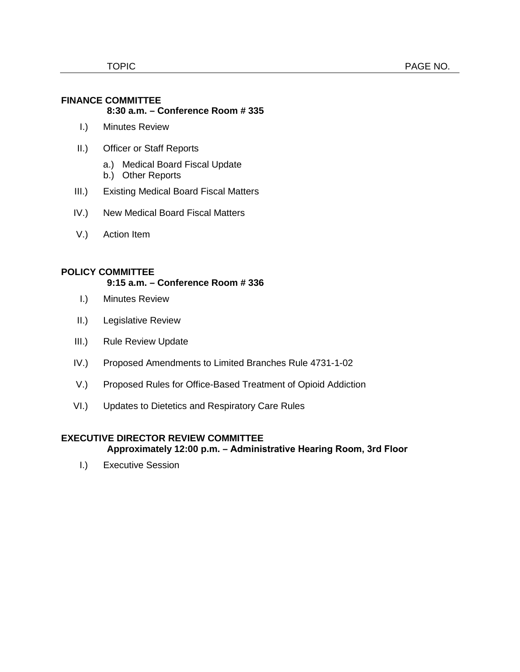#### **FINANCE COMMITTEE 8:30 a.m. – Conference Room # 335**

- I.) Minutes Review
- II.) Officer or Staff Reports
	- a.) Medical Board Fiscal Update
	- b.) Other Reports
- III.) Existing Medical Board Fiscal Matters
- IV.) New Medical Board Fiscal Matters
- V.) Action Item

# **POLICY COMMITTEE**

## **9:15 a.m. – Conference Room # 336**

- I.) Minutes Review
- II.) Legislative Review
- III.) Rule Review Update
- IV.) Proposed Amendments to Limited Branches Rule 4731-1-02
- V.) Proposed Rules for Office-Based Treatment of Opioid Addiction
- VI.) Updates to Dietetics and Respiratory Care Rules

# **EXECUTIVE DIRECTOR REVIEW COMMITTEE**

#### **Approximately 12:00 p.m. – Administrative Hearing Room, 3rd Floor**

I.) Executive Session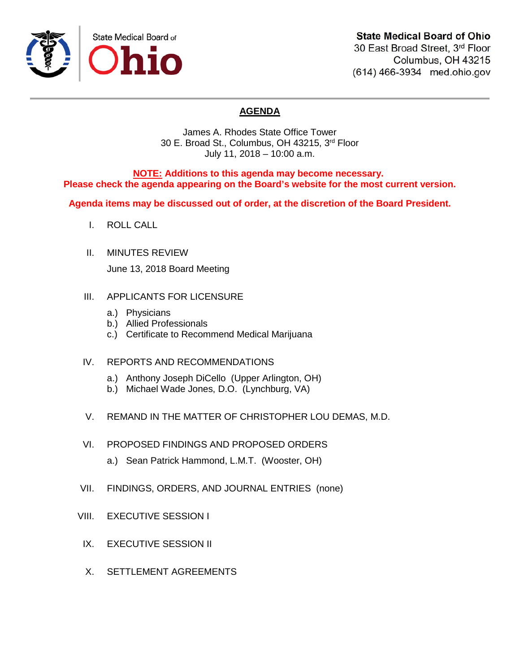

# **State Medical Board of Ohio**

30 East Broad Street, 3rd Floor Columbus, OH 43215 (614) 466-3934 med.ohio.gov

# **AGENDA**

James A. Rhodes State Office Tower 30 E. Broad St., Columbus, OH 43215, 3rd Floor July 11, 2018 – 10:00 a.m.

**NOTE: Additions to this agenda may become necessary. Please check the agenda appearing on the Board's website for the most current version.**

**Agenda items may be discussed out of order, at the discretion of the Board President.**

- I. ROLL CALL
- II. MINUTES REVIEW June 13, 2018 Board Meeting
- III. APPLICANTS FOR LICENSURE
	- a.) Physicians
	- b.) Allied Professionals
	- c.) Certificate to Recommend Medical Marijuana
- IV. REPORTS AND RECOMMENDATIONS
	- a.) Anthony Joseph DiCello (Upper Arlington, OH)
	- b.) Michael Wade Jones, D.O. (Lynchburg, VA)
- V. REMAND IN THE MATTER OF CHRISTOPHER LOU DEMAS, M.D.
- VI. PROPOSED FINDINGS AND PROPOSED ORDERS
	- a.) Sean Patrick Hammond, L.M.T. (Wooster, OH)
- VII. FINDINGS, ORDERS, AND JOURNAL ENTRIES (none)
- VIII. EXECUTIVE SESSION I
- IX. EXECUTIVE SESSION II
- X. SETTLEMENT AGREEMENTS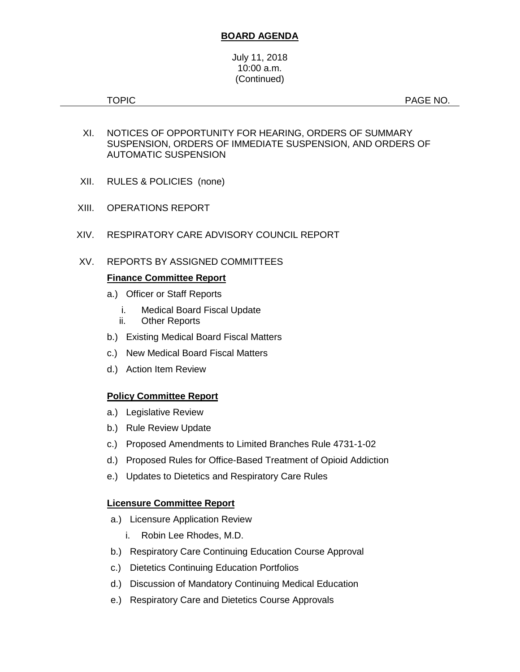# **BOARD AGENDA**

#### July 11, 2018 10:00 a.m. (Continued)

TOPIC **Example 2012 12:00 PAGE NO.** 

- XI. NOTICES OF OPPORTUNITY FOR HEARING, ORDERS OF SUMMARY SUSPENSION, ORDERS OF IMMEDIATE SUSPENSION, AND ORDERS OF AUTOMATIC SUSPENSION
- XII. RULES & POLICIES (none)
- XIII. OPERATIONS REPORT
- XIV. RESPIRATORY CARE ADVISORY COUNCIL REPORT
- XV. REPORTS BY ASSIGNED COMMITTEES

## **Finance Committee Report**

- a.) Officer or Staff Reports
	- i. Medical Board Fiscal Update
	- ii. Other Reports
- b.) Existing Medical Board Fiscal Matters
- c.) New Medical Board Fiscal Matters
- d.) Action Item Review

## **Policy Committee Report**

- a.) Legislative Review
- b.) Rule Review Update
- c.) Proposed Amendments to Limited Branches Rule 4731-1-02
- d.) Proposed Rules for Office-Based Treatment of Opioid Addiction
- e.) Updates to Dietetics and Respiratory Care Rules

## **Licensure Committee Report**

- a.) Licensure Application Review
	- i. Robin Lee Rhodes, M.D.
- b.) Respiratory Care Continuing Education Course Approval
- c.) Dietetics Continuing Education Portfolios
- d.) Discussion of Mandatory Continuing Medical Education
- e.) Respiratory Care and Dietetics Course Approvals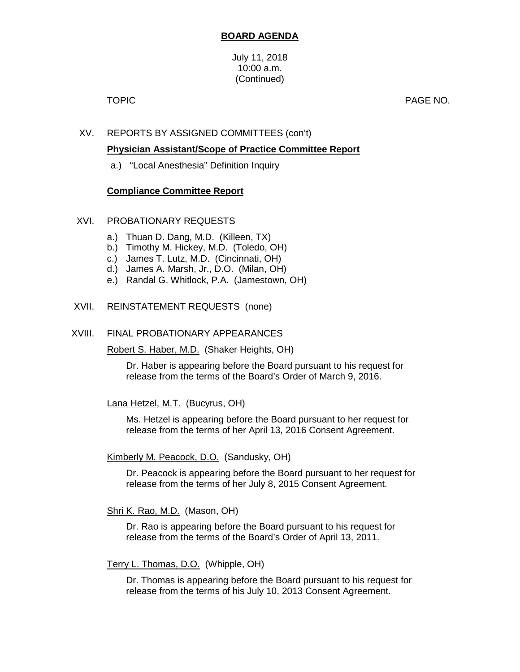# **BOARD AGENDA**

#### July 11, 2018 10:00 a.m. (Continued)

TOPIC **TOPIC Example 2 PAGE NO.** 

# XV. REPORTS BY ASSIGNED COMMITTEES (con't)

# **Physician Assistant/Scope of Practice Committee Report**

a.) "Local Anesthesia" Definition Inquiry

## **Compliance Committee Report**

## XVI. PROBATIONARY REQUESTS

- a.) Thuan D. Dang, M.D. (Killeen, TX)
- b.) Timothy M. Hickey, M.D. (Toledo, OH)
- c.) James T. Lutz, M.D. (Cincinnati, OH)
- d.) James A. Marsh, Jr., D.O. (Milan, OH)
- e.) Randal G. Whitlock, P.A. (Jamestown, OH)

#### XVII. REINSTATEMENT REQUESTS (none)

#### XVIII. FINAL PROBATIONARY APPEARANCES

Robert S. Haber, M.D. (Shaker Heights, OH)

Dr. Haber is appearing before the Board pursuant to his request for release from the terms of the Board's Order of March 9, 2016.

## Lana Hetzel, M.T. (Bucyrus, OH)

Ms. Hetzel is appearing before the Board pursuant to her request for release from the terms of her April 13, 2016 Consent Agreement.

#### Kimberly M. Peacock, D.O. (Sandusky, OH)

Dr. Peacock is appearing before the Board pursuant to her request for release from the terms of her July 8, 2015 Consent Agreement.

Shri K. Rao, M.D. (Mason, OH)

Dr. Rao is appearing before the Board pursuant to his request for release from the terms of the Board's Order of April 13, 2011.

#### Terry L. Thomas, D.O. (Whipple, OH)

Dr. Thomas is appearing before the Board pursuant to his request for release from the terms of his July 10, 2013 Consent Agreement.